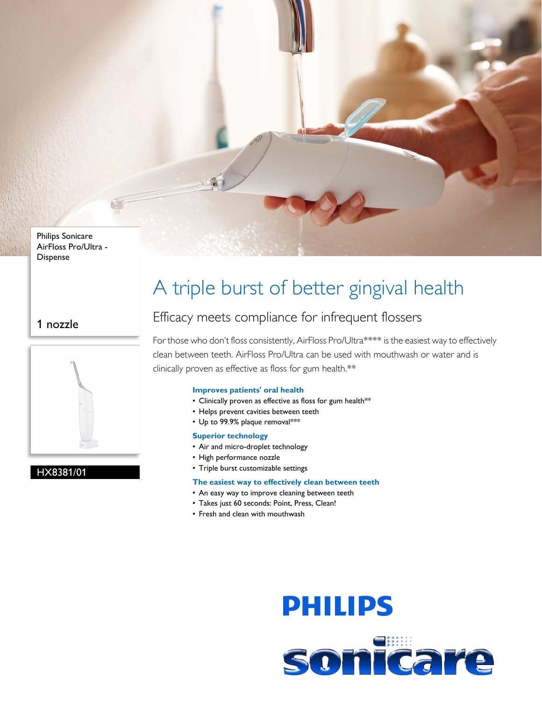Philips Sonicare AirFloss Pro/Ultra - Dispense

### 1 nozzle



#### HX8381/01

## A triple burst of better gingival health

## Efficacy meets compliance for infrequent flossers

For those who don't floss consistently, AirFloss Pro/Ultra\*\*\*\* is the easiest way to effectively clean between teeth. AirFloss Pro/Ultra can be used with mouthwash or water and is clinically proven as effective as floss for gum health.\*\*

#### **Improves patients' oral health**

- Clinically proven as effective as floss for gum health\*\*
- Helps prevent cavities between teeth
- Up to 99.9% plaque removal\*\*\*

#### **Superior technology**

- Air and micro-droplet technology
- High performance nozzle
- Triple burst customizable settings

#### **The easiest way to effectively clean between teeth**

- An easy way to improve cleaning between teeth
- Takes just 60 seconds: Point, Press, Clean!
- Fresh and clean with mouthwash

# **PHILIPS** sonicare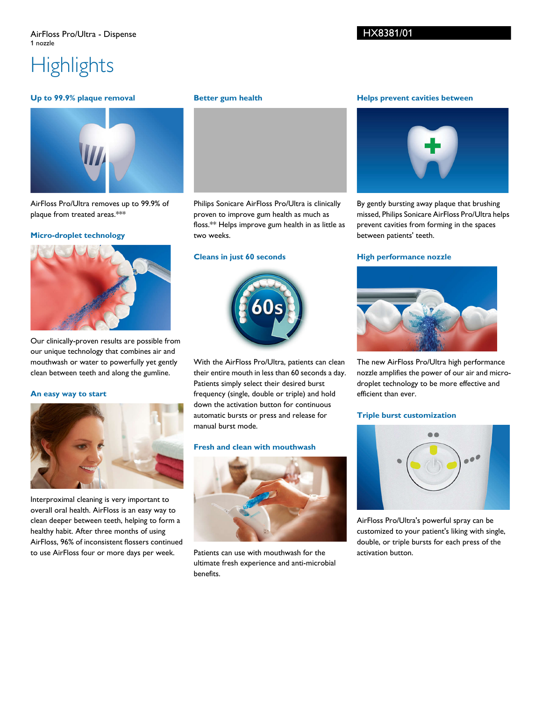# **Highlights**

#### **Up to 99.9% plaque removal**



AirFloss Pro/Ultra removes up to 99.9% of plaque from treated areas.\*\*\*

#### **Micro-droplet technology**



Our clinically-proven results are possible from our unique technology that combines air and mouthwash or water to powerfully yet gently clean between teeth and along the gumline.

#### **An easy way to start**



Interproximal cleaning is very important to overall oral health. AirFloss is an easy way to clean deeper between teeth, helping to form a healthy habit. After three months of using AirFloss, 96% of inconsistent flossers continued to use AirFloss four or more days per week.

#### **Better gum health**



Philips Sonicare AirFloss Pro/Ultra is clinically proven to improve gum health as much as floss.\*\* Helps improve gum health in as little as two weeks.

#### **Cleans in just 60 seconds**



With the AirFloss Pro/Ultra, patients can clean their entire mouth in less than 60 seconds a day. Patients simply select their desired burst frequency (single, double or triple) and hold down the activation button for continuous automatic bursts or press and release for manual burst mode.

#### **Fresh and clean with mouthwash**



Patients can use with mouthwash for the ultimate fresh experience and anti-microbial benefits.

#### **Helps prevent cavities between**



By gently bursting away plaque that brushing missed, Philips Sonicare AirFloss Pro/Ultra helps prevent cavities from forming in the spaces between patients' teeth.

#### **High performance nozzle**



The new AirFloss Pro/Ultra high performance nozzle amplifies the power of our air and microdroplet technology to be more effective and efficient than ever.

#### **Triple burst customization**



AirFloss Pro/Ultra's powerful spray can be customized to your patient's liking with single, double, or triple bursts for each press of the activation button.